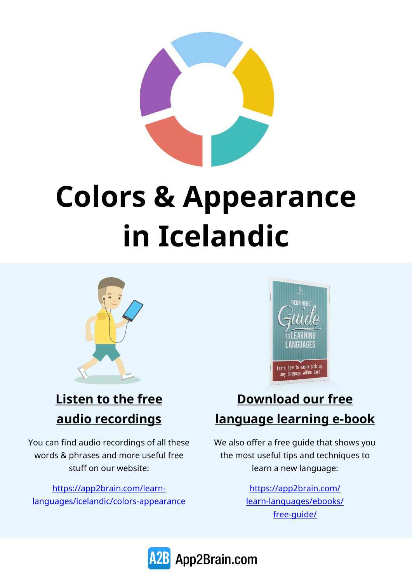

# **Colors & Appearance in Icelandic**



#### **Listen to the free audio recordings**

You can find audio recordings of all these words & phrases and more useful free stuff on our website:

[https://app2brain.com/learn](https://app2brain.com/learn-languages/icelandic/colors-appearance)[languages/icelandic/colors-appearance](https://app2brain.com/learn-languages/icelandic/colors-appearance)



#### **Download our free language learning e-book**

We also offer a free guide that shows you the most useful tips and techniques to learn a new language:

> [https://app2brain.com/](https://app2brain.com/learn-languages/ebooks/free-guide/) [learn-languages/ebooks/](https://app2brain.com/learn-languages/ebooks/free-guide/) [free-guide/](https://app2brain.com/learn-languages/ebooks/free-guide/)

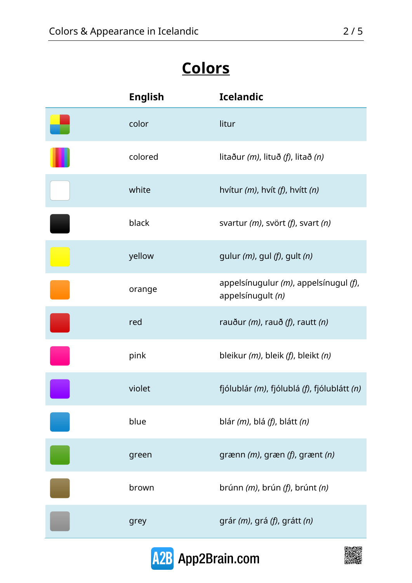## **Colors**

| <b>English</b> | <b>Icelandic</b>                                           |
|----------------|------------------------------------------------------------|
| color          | litur                                                      |
| colored        | litaður $(m)$ , lituð $(f)$ , litað $(n)$                  |
| white          | hvítur $(m)$ , hvít $(f)$ , hvítt $(n)$                    |
| black          | svartur (m), svört (f), svart (n)                          |
| yellow         | gulur $(m)$ , gul $(f)$ , gult $(n)$                       |
| orange         | appelsínugulur (m), appelsínugul (f),<br>appelsínugult (n) |
| red            | rauður (m), rauð (f), rautt (n)                            |
| pink           | bleikur (m), bleik (f), bleikt (n)                         |
| violet         | fjólublár (m), fjólublá (f), fjólublátt (n)                |
| blue           | blár (m), blá (f), blátt (n)                               |
| green          | grænn (m), græn (f), grænt (n)                             |
| brown          | brúnn (m), brún (f), brúnt (n)                             |
| grey           | grár (m), grá (f), grátt (n)                               |



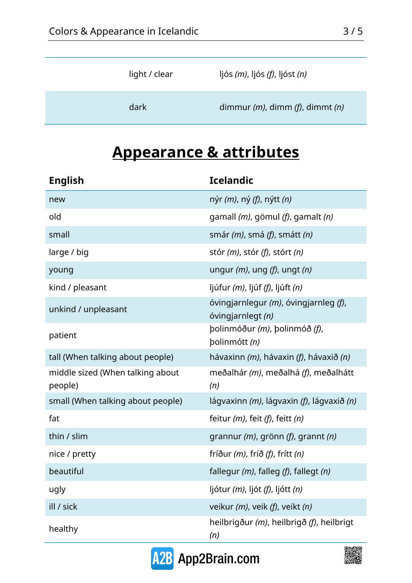| light / clear | ljós $(m)$ , ljós $(f)$ , ljóst $(n)$   |
|---------------|-----------------------------------------|
| dark          | dimmur $(m)$ , dimm $(f)$ , dimmt $(n)$ |

## **Appearance & attributes**

| <b>English</b>                              | <b>Icelandic</b>                                                  |
|---------------------------------------------|-------------------------------------------------------------------|
| new                                         | nýr <i>(m)</i> , ný <i>(f)</i> , nýtt <i>(n)</i>                  |
| old                                         | gamall ( <i>m</i> ), gömul ( <i>f</i> ), gamalt ( <i>n</i> )      |
| small                                       | smár $(m)$ , smá $(f)$ , smátt $(n)$                              |
| large / big                                 | stór $(m)$ , stór $(f)$ , stórt $(n)$                             |
| young                                       | ungur $(m)$ , ung $(f)$ , ungt $(n)$                              |
| kind / pleasant                             | ljúfur <i>(m)</i> , ljúf <i>(f)</i> , ljúft <i>(n)</i>            |
| unkind / unpleasant                         | óvingjarnlegur (m), óvingjarnleg (f),<br>óvingjarnlegt (n)        |
| patient                                     | polinmóður (m), þolinmóð (f),<br>polinmótt (n)                    |
| tall (When talking about people)            | hávaxinn ( <i>m</i> ), hávaxin ( <i>f</i> ), hávaxið ( <i>n</i> ) |
| middle sized (When talking about<br>people) | meðalhár (m), meðalhá (f), meðalhátt<br>(n)                       |
| small (When talking about people)           | lágvaxinn (m), lágvaxin (f), lágvaxið (n)                         |
| fat                                         | feitur $(m)$ , feit $(f)$ , feitt $(n)$                           |
| thin / slim                                 | grannur $(m)$ , grönn $(f)$ , grannt $(n)$                        |
| nice / pretty                               | fríður $(m)$ , fríð $(f)$ , frítt $(n)$                           |
| beautiful                                   | fallegur $(m)$ , falleg $(f)$ , fallegt $(n)$                     |
| ugly                                        | ljótur (m), ljót (f), ljótt (n)                                   |
| ill / sick                                  | veikur (m), veik (f), veikt (n)                                   |
| healthy                                     | heilbrigður (m), heilbrigð (f), heilbrigt<br>(n)                  |



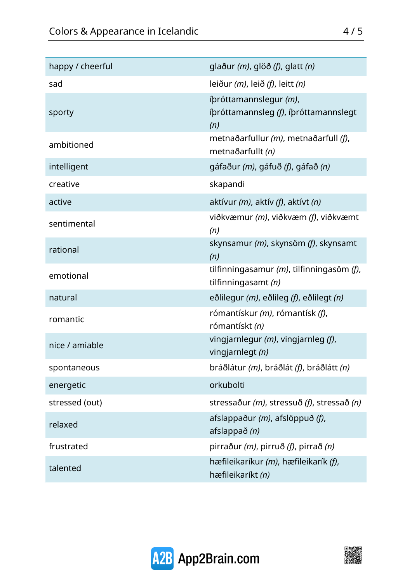| happy / cheerful | glaður $(m)$ , glöð $(f)$ , glatt $(n)$                                |
|------------------|------------------------------------------------------------------------|
| sad              | leiður $(m)$ , leið $(f)$ , leitt $(n)$                                |
| sporty           | íþróttamannslegur (m),<br>íþróttamannsleg (f), íþróttamannslegt<br>(n) |
| ambitioned       | metnaðarfullur (m), metnaðarfull (f),<br>metnaðarfullt (n)             |
| intelligent      | gáfaður (m), gáfuð (f), gáfað (n)                                      |
| creative         | skapandi                                                               |
| active           | aktívur $(m)$ , aktív $(f)$ , aktívt $(n)$                             |
| sentimental      | viðkvæmur (m), viðkvæm (f), viðkvæmt<br>(n)                            |
| rational         | skynsamur (m), skynsöm (f), skynsamt<br>(n)                            |
| emotional        | tilfinningasamur $(m)$ , tilfinningasöm $(f)$ ,<br>tilfinningasamt (n) |
| natural          | eðlilegur (m), eðlileg (f), eðlilegt (n)                               |
| romantic         | rómantískur (m), rómantísk (f),<br>rómantískt (n)                      |
| nice / amiable   | vingjarnlegur $(m)$ , vingjarnleg $(f)$ ,<br>vingjarnlegt (n)          |
| spontaneous      | bráðlátur (m), bráðlát (f), bráðlátt (n)                               |
| energetic        | orkubolti                                                              |
| stressed (out)   | stressaður (m), stressuð (f), stressað (n)                             |
| relaxed          | afslappaður (m), afslöppuð (f),<br>afslappað (n)                       |
| frustrated       | pirraður (m), pirruð (f), pirrað (n)                                   |
| talented         | hæfileikaríkur (m), hæfileikarík (f),<br>hæfileikaríkt (n)             |